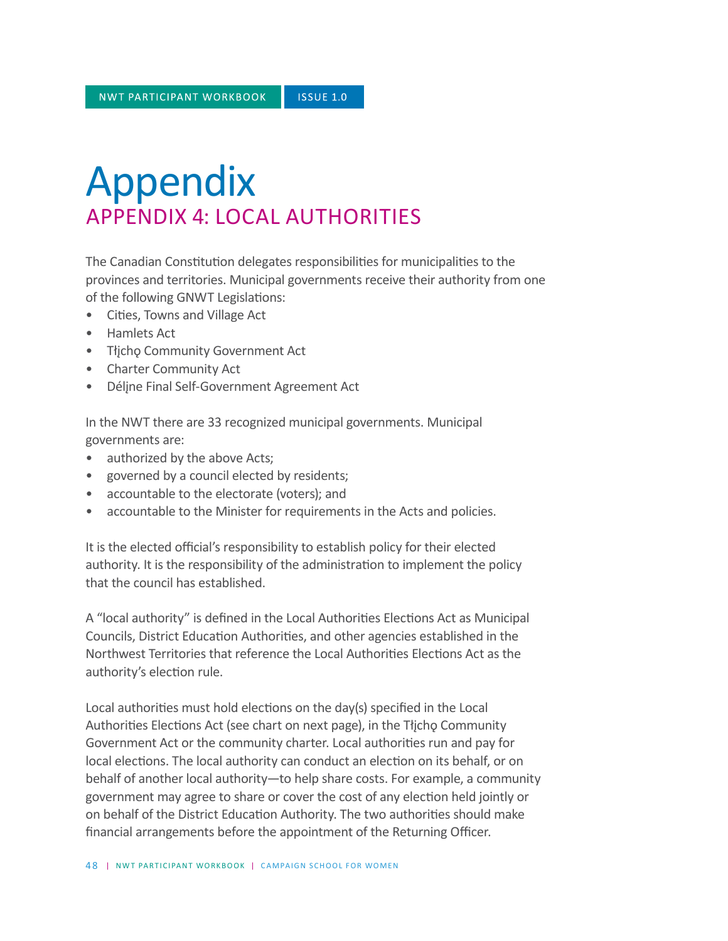## Appendix APPENDIX 4: LOCAL AUTHORITIES

The Canadian Constitution delegates responsibilities for municipalities to the provinces and territories. Municipal governments receive their authority from one of the following GNWT Legislations:

- Cities, Towns and Village Act
- Hamlets Act
- Tłįchǫ Community Government Act
- Charter Community Act
- Délįne Final Self-Government Agreement Act

In the NWT there are 33 recognized municipal governments. Municipal governments are:

- authorized by the above Acts;
- governed by a council elected by residents;
- accountable to the electorate (voters); and
- accountable to the Minister for requirements in the Acts and policies.

It is the elected official's responsibility to establish policy for their elected authority. It is the responsibility of the administration to implement the policy that the council has established.

A "local authority" is defined in the Local Authorities Elections Act as Municipal Councils, District Education Authorities, and other agencies established in the Northwest Territories that reference the Local Authorities Elections Act as the authority's election rule.

Local authorities must hold elections on the day(s) specified in the Local Authorities Elections Act (see chart on next page), in the Tłjcho Community Government Act or the community charter. Local authorities run and pay for local elections. The local authority can conduct an election on its behalf, or on behalf of another local authority—to help share costs. For example, a community government may agree to share or cover the cost of any election held jointly or on behalf of the District Education Authority. The two authorities should make financial arrangements before the appointment of the Returning Officer.